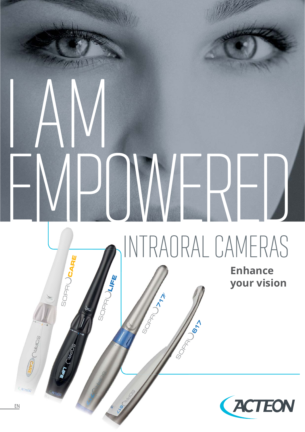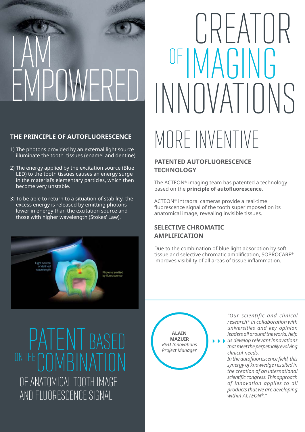# I AM EMPOWERED

#### **THE PRINCIPLE OF AUTOFLUORESCENCE**

- 1) The photons provided by an external light source illuminate the tooth tissues (enamel and dentine).
- 2) The energy applied by the excitation source (Blue LED) to the tooth tissues causes an energy surge in the material's elementary particles, which then become very unstable.
- 3) To be able to return to a situation of stability, the excess energy is released by emitting photons lower in energy than the excitation source and those with higher wavelength (Stokes' Law).



# MORE INVENTIVE CREATUR INNOVATIONS OF IMAGING

#### **PATENTED AUTOFLUORESCENCE TECHNOLOGY**

The ACTEON® imaging team has patented a technology based on the **principle of autofl uorescence**.

ACTEON® intraoral cameras provide a real-time fluorescence signal of the tooth superimposed on its anatomical image, revealing invisible tissues.

#### **SELECTIVE CHROMATIC AMPLIFICATION**

Due to the combination of blue light absorption by soft tissue and selective chromatic amplification, SOPROCARE® improves visibility of all areas of tissue inflammation.

PATENT BASE ON THE COMBINATION OF ANATOMICAL TOOTH IMAGE AND FLUORESCENCE SIGNAL

**ALAIN MAZUIR** *R&D Innovations Project Manager* 

*"Our scientific and clinical research\* in collaboration with universities and key opinion leaders all around the world, help* 

*us develop relevant innovations that meet the perpetually evolving clinical needs.*

*In the autofl uorescence fi eld, this synergy of knowledge resulted in the creation of an international scientifi c congress. This approach of innovation applies to all products that we are developing within ACTEON®."*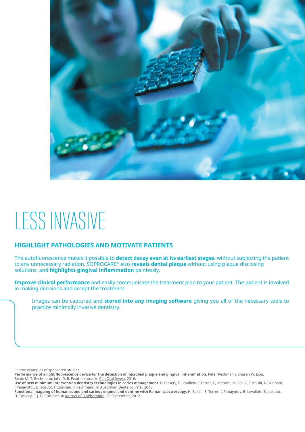

## LESS INVASIVE

#### **HIGHLIGHT PATHOLOGIES AND MOTIVATE PATIENTS**

The autofluorescence makes it possible to **detect decay even at its earliest stages**, without subjecting the patient to any unnecessary radiation. SOPROCARE® also **reveals dental plaque** without using plaque disclosing solutions, and **highlights gingival inflammation** painlessly.

**Improve clinical performance** and easily communicate the treatment plan to your patient. The patient is involved in making decisions and accept the treatment.

Images can be captured and **stored into any imaging software** giving you all of the necessary tools to practice minimally invasive dentistry.

\* Some examples of sponsored studies:

Performance of a light fluorescence device for the detection of microbial plaque and gingival inflammation. Peter Rechmann, Shasan W. Liou, Beate M. T. Rechmann, John D. B. Featherstone, in Clin Oral Invest, 2016.

**Use of new minimum intervention dentistry technologies in caries management.** H Tassery, B Levallois, E Terrer, DJ Manton, M Otsuki, S Koubi, N Gugnani, I Panayotov, B Jacquot, F Cuisinier, P Rechmann, in Australian Dental Journal, 2013.

Functional mapping of human sound and carious enamel and dentine with Raman spectroscopy. H. Salehi, E. Terrer, I. Panayotov, B. Levallois, B. Jacquot, H. Tassery, F. J. G. Cuisinier, in Journal of BioPhotonics, 20 September, 2012.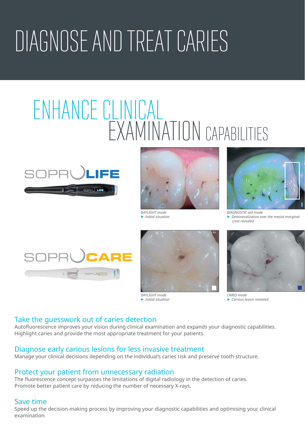# DIAGNOSE AND TREAT CARIES

## ENHANCE CLINICAL EXAMINATION CAPABILITIES





► *Initial situation*



*DIAGNOSTIC aid mode*  ► *Demineralization over the mesial marginal crest revealed*





*DAYLIGHT mode* ► *Initial situation*



*CARIO mode* ► *Carious lesion revealed*

#### Take the guesswork out of caries detection

Autofluorescence improves your vision during clinical examination and expands your diagnostic capabilities. Highlight caries and provide the most appropriate treatment for your patients.

#### Diagnose early carious lesions for less invasive treatment

Manage your clinical decisions depending on the individual's caries risk and preserve tooth structure.

#### Protect your patient from unnecessary radiation

The fluorescence concept surpasses the limitations of digital radiology in the detection of caries. Promote better patient care by reducing the number of necessary X-rays.

#### Save time

Speed up the decision-making process by improving your diagnostic capabilities and optimising your clinical examination.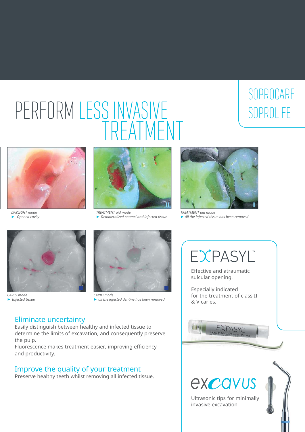## PERFORM LESS INVASIVE TREATMENT

### **SOPROLIFE SOPROCARE**



*DAYLIGHT mode* ► *Opened cavity*



*TREATMENT aid mode* ► *Demineralized enamel and infected tissue*



*TREATMENT aid mode*  ► *All the infected tissue has been removed*



*CARIO mode* ► *Infected tissue*



*CARIO mode* ► *all the infected dentine has been removed*

#### Eliminate uncertainty

Easily distinguish between healthy and infected tissue to determine the limits of excavation, and consequently preserve the pulp.

Fluorescence makes treatment easier, improving efficiency and productivity.

#### Improve the quality of your treatment

Preserve healthy teeth whilst removing all infected tissue.



Effective and atraumatic sulcular opening.

Especially indicated for the treatment of class II & V caries.



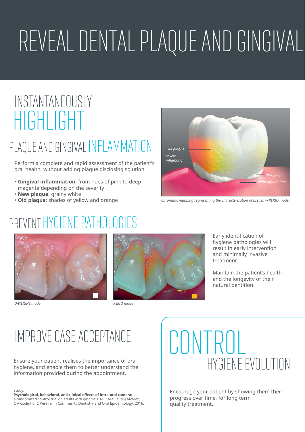# REVEAL DENTAL PLAQUE AND GINGIVAL

### HIGHLIGHT INSTANTANEOUSLY

### PLAQUE AND GINGIVAL INFLAMMATION

Perform a complete and rapid assessment of the patient's oral health, without adding plaque disclosing solution.

- Gingival inflammation: from hues of pink to deep magenta depending on the severity
- • **New plaque**: grainy white
- **Old plaque**: shades of yellow and orange



*Chromatic mapping representing the characterization of tissues in PERIO mode*

### PREVENT HYGIENE PATHOLOGIES



*DAYLIGHT mode PERIO mode* 



Early identification of hygiene pathologies will result in early intervention and minimally invasive treatment.

Maintain the patient's health and the longevity of their natural dentition.

### IMPROVE CASE ACCEPTANCE

hygiene, and enable them to better understand the information provided during the appointment.

#### Study:

**Psychological, behavioral, and clinical effects of intra-oral camera:** a randomized control trial on adults with gingivitis. M-R Araúja, M-J Alvarez, C A Godinho, C Pereira, in Community Dentistry and Oral Epidemiology, 2016.

## **CONTROL** Ensure your patient realises the importance of oral  $HYGFFWFFV \cap HYGFFW$

Encourage your patient by showing them their progress over time, for long term quality treatment.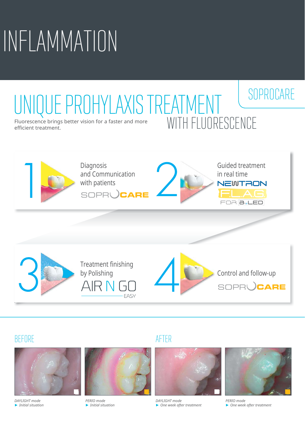# INFLAMMATION

### **SOPROCARE** Fluorescence brings better vision for a faster and more UE PROHYLAXIS TREATMENT





#### BEFORE AFTER



*DAYLIGHT mode* ► *Initial situation*



*PERIO mode* ► *Initial situation*



*DAYLIGHT mode* ► *One week after treatment*



*PERIO mode* ► *One week after treatment*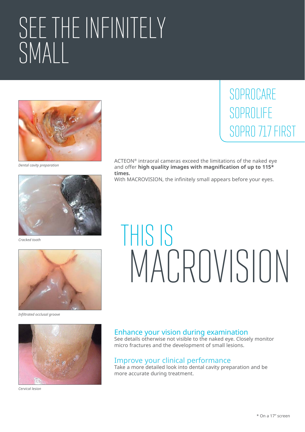# SEE THE INFINITELY SMALL



*Dental cavity preparation*



*Cracked tooth*



*Infiltrated occlusal groove*



*Cervical lesion*

### SOPROLIFE SOPRO 717 FIRST **SOPROCARE**

ACTEON® intraoral cameras exceed the limitations of the naked eye and offer **high quality images with magnification of up to 115\* times.**

With MACROVISION, the infinitely small appears before your eyes.

# THIS IS MACROVISION

#### Enhance your vision during examination

See details otherwise not visible to the naked eye. Closely monitor micro fractures and the development of small lesions.

#### Improve your clinical performance

Take a more detailed look into dental cavity preparation and be more accurate during treatment.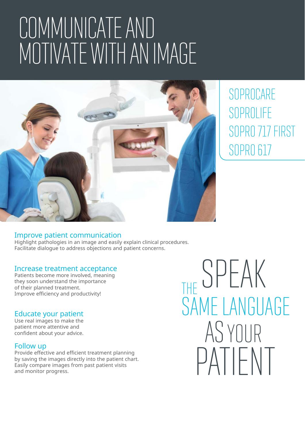# COMMUNICATE AND MOTIVATE WITH AN IMAGE



SOPROLIFE SOPRO 717 FIRST SOPRO 617 **SOPROCARE** 

#### Improve patient communication

Highlight pathologies in an image and easily explain clinical procedures. Facilitate dialogue to address objections and patient concerns.

#### Increase treatment acceptance

Patients become more involved, meaning they soon understand the importance of their planned treatment. Improve efficiency and productivity!

#### Educate your patient

Use real images to make the patient more attentive and confident about your advice.

#### Follow up

Provide effective and efficient treatment planning by saving the images directly into the patient chart. Easily compare images from past patient visits and monitor progress.

THE SPEAK SAME LANGUAGE ASYOUR PATIENT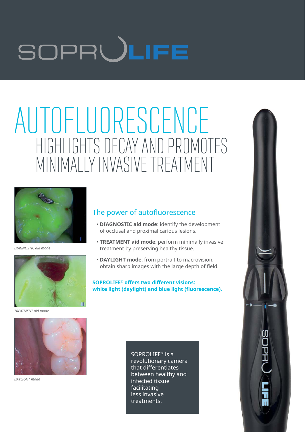# SOPRULIFE

## AUTOFLUORESCENCE HIGHLIGHTS DECAY AND PROMOTES MINIMALLY INVASIVE TREATMENT



*DIAGNOSTIC aid mode*



*TREATMENT aid mode*

#### The power of autofluorescence

- **DIAGNOSTIC aid mode**: identify the development of occlusal and proximal carious lesions.
- **TREATMENT aid mode**: perform minimally invasive treatment by preserving healthy tissue.
- **DAYLIGHT mode**: from portrait to macrovision, obtain sharp images with the large depth of field.

**SOPROLIFE® offers two different visions:** white light (daylight) and blue light (fluorescence).



*DAYLIGHT mode*

SOPROLIFE® is a revolutionary camera that differentiates between healthy and infected tissue facilitating less invasive treatments.

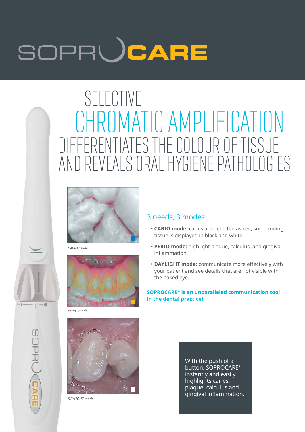# SOPRUCARE

### CHROMATIC AMPLIFICATION SELECTIVE DIFFERENTIATES THE COLOUR OF TISSUE AND REVEALS ORAL HYGIENE PATHOLOGIES



*CARIO mode CA*



*PERIO mode PE*

 $-6$ 

**SOPRUCAR** 



*DAYLIGHT mode DA*

#### 3 needs, 3 modes

- **CARIO mode:** caries are detected as red, surrounding tissue is displayed in black and white.
- **PERIO mode:** highlight plaque, calculus, and gingival inflammation.
- **DAYLIGHT mode:** communicate more effectively with your patient and see details that are not visible with the naked eye.

**SOPROCARE® is an unparalleled communication tool in the dental practice!**

> With the push of a button, SOPROCARE® instantly and easily highlights caries, plaque, calculus and gingival inflammation.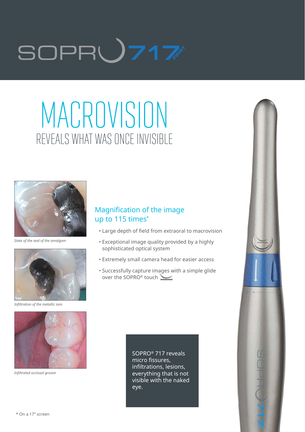# SOPR**U717**

## MACROVISION REVEALS WHAT WAS ONCE INVISIBLE



*State of the seal of the amalgam*



*Infiltration of the metallic ions*



*Infiltrated occlusal groove*

#### Magnification of the image up to 115 times\*

- Large depth of field from extraoral to macrovision
- Exceptional image quality provided by a highly sophisticated optical system
- Extremely small camera head for easier access
- Successfully capture images with a simple glide g over the SOPRO® touch

SOPRO® 717 reveals micro fissures, infiltrations, lesions, everything that is not visible with the naked eye.

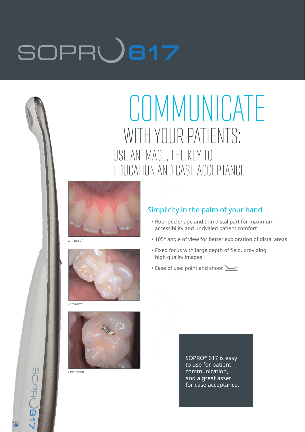# SOPRU617

### **COMMUNICATE** WITH YOUR PATIENTS: USE AN IMAGE, THE KEY TO EDUCATION AND CASE ACCEPTANCE



*Intraoral*



#### Simplicity in the palm of your hand

- Rounded shape and thin distal part for maximum accessibility and unrivaled patient comfort
- 105° angle of view for better exploration of distal areas
- Fixed focus with large depth of field, providing high quality images
- Ease of use: point and shoot

*Intraoral*



*One tooth*

SOPRO® 617 is easy to use for patient communication, and a great asset for case acceptance.

**ION** 

**La**OBU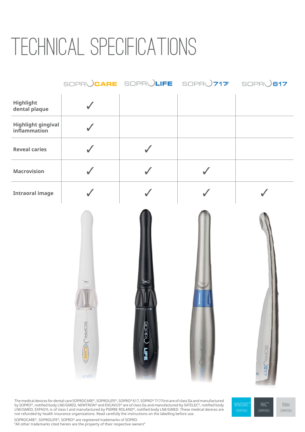## TECHNICAL SPECIFICATIONS

|                                           |              |              | SOPRUCARE SOPRULIFE SOPRU717 SOPRU817 |  |
|-------------------------------------------|--------------|--------------|---------------------------------------|--|
| Highlight<br>dental plaque                |              |              |                                       |  |
| <b>Highlight gingival</b><br>inflammation | $\checkmark$ |              |                                       |  |
| <b>Reveal caries</b>                      | $\checkmark$ | $\checkmark$ |                                       |  |
| <b>Macrovision</b>                        | $\checkmark$ | $\checkmark$ | $\checkmark$                          |  |
| <b>Intraoral image</b>                    |              |              |                                       |  |
|                                           | <b>CHAOS</b> | <b>SOPRU</b> |                                       |  |

The medical devices for dental care SOPROCARE®, SOPROLIFE®, SOPRO® 617, SOPRO® 717 First are of class IIa and manufactured by SOPRO®, notified body LNE/GMED, NEWTRON® and EXCAVUS® are of class IIa and manufactured by SATELEC®, notified body LNE/GMED, EXPASYL is of class I and manufactured by PIERRE ROLAND®, notified body LNE/GMED. These medical devices are not refunded by health insurance organizations. Read carefully the instructions on the labelling before use.

SOPROCARE®, SOPROLIFE®, SOPRO® are registered trademarks of SOPRO. "All other trademarks cited herein are the property of their respective owners"

MAC **® ®**COMPATIBLE **WINDOWS** 

Video COMPATIBLE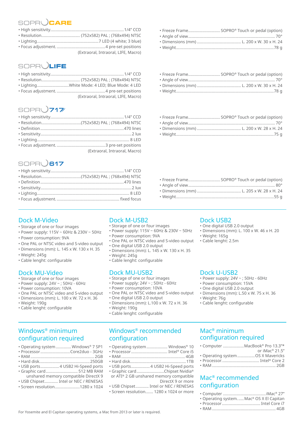#### SOPRU  $)$ CARE

- High sensitivity...................................................................1/4'' CCD
- Resolution ................................... (752x582) PAL ; (768x494) NTSC • Lighting ........................................................7 LED (4 white; 3 blue)

• Focus adjustment. ............................................4 pre-set positions (Extraoral, Intraoral, LIFE, Macro)

#### SOPRULIFE

| . LightingWhite Mode: 4 LED; Blue Mode: 4 LED |
|-----------------------------------------------|
|                                               |

(Extraoral, Intraoral, LIFE, Macro)

#### **SOPRU** 717

| (Extraoral, Intraoral, Macro) |
|-------------------------------|

#### **SOPR<sub>()</sub>617**

#### Dock M-Video

- Storage of one or four images
- Power supply: 115V ~ 60Hz & 230V ~ 50Hz
- Power consumption: 9VA
- One PAL or NTSC video and S-video output
- Dimensions (mm): L. 145 x W. 130 x H. 35
- Weight: 245g
- Cable lenght: configurable

#### Dock MU-Video

- Storage of one or four images
- Power supply: 24V ~ ; 50Hz 60Hz
- Power consumption: 10VA
- One PAL or NTSC video and S-video output • Dimensions (mm): L. 100 x W. 72 x H. 36
- Weight: 190g
- Cable lenght: configurable

#### Windows® minimum configuration required

|  | • Operating system  Windows® 7 SP1 |  |
|--|------------------------------------|--|
|  |                                    |  |

- RAM .......................................................... 2GB
- Hard disk..............................................250GB
- USB ports ................. 4 USB2 Hi-Speed ports • Graphic card ............................. 512 MB RAM
- unshared memory compatible DirectX 9 • USB Chipset ............ Intel or NEC / RENESAS
- Screen resolution .......................1280 x 1024

#### Dock M-US

- Storage of one
- Power supply:
- Power consum
- One PAL or NTSC video and S-video output Cable lenght: 2.5m
- One digital USB 2.0 output
- Dimensions (mm): L. 145 x W. 130 x H. 35
- Weight: 245g
- Cable lenght: configurable

#### Dock MU-USB2

- Storage of one or four images
- Power supply: 24V ~ ; 50Hz 60Hz
- Power consumption: 10VA
- One PAL or NTSC video and S-video output
- One digital USB 2.0 output • Dimensions (mm): L.100 x W. 72 x H. 36
- Weight: 190g
- Cable lenght: configurable

#### Windows® recommended configuration

- Operating system ................... Windows® 10
- Processor ................................. Intel® Core i5 • RAM .......................................................... 4GB
- Hard disk...................................................1TB
- USB ports ................. 4 USB2 Hi-Speed ports
- Graphic card .........................Chipset Nvidia® or ATI® 2 GB unshared memory compatible DirectX 9 or more
- USB Chipset ............ Intel or NEC / RENESAS
- Screen resolution....... 1280 x 1024 or more

| • Freeze Frame SOPRO® Touch or pedal (option) |
|-----------------------------------------------|
|                                               |
|                                               |
|                                               |

• Freeze Frame................................ SOPRO® Touch or pedal (option) • Angle of view ............................................................................... 70° • Dimensions (mm) ........................................ L. 200 x W. 28 x H. 24 • Weight .........................................................................................75 g

#### SB2

- al USB 2.0 output
- ns (mm): L. 100 x W. 46 x H. 20
- $65<sub>0</sub>$
- 

#### Dock U-USB2

- Power supply: 24V ~ ; 50Hz 60Hz
- Power consumption: 15VA
- One digital USB 2.0 output
- $\cdot$  Dimensions (mm): L.50  $\times$  W. 75  $\times$  H. 36
- Weight: 76g
- Cable lenght: configurable

#### Mac® minimum configuration required

- Computer ...................MacBook® Pro 13.3"\* or iMac® 21.5"
- Operating system ................OS X Mavericks
- Processor. ................................. Intel® Core 2
- RAM .......................................................... 2GB

#### Mac® recommended configuration

- Computer .......................................iMac® 27"
- Operating system. .....Mac® OS X El Capitan • Processor ................................... Intel Core i7
- RAM .......................................................... 4GB

| <b>B2</b>                 | Dock US      |
|---------------------------|--------------|
| or four images            | • One digita |
| 115V ~ 60Hz & 230V ~ 50Hz | • Dimensior  |
| ption: 9VA                | • Weight: 16 |
|                           |              |